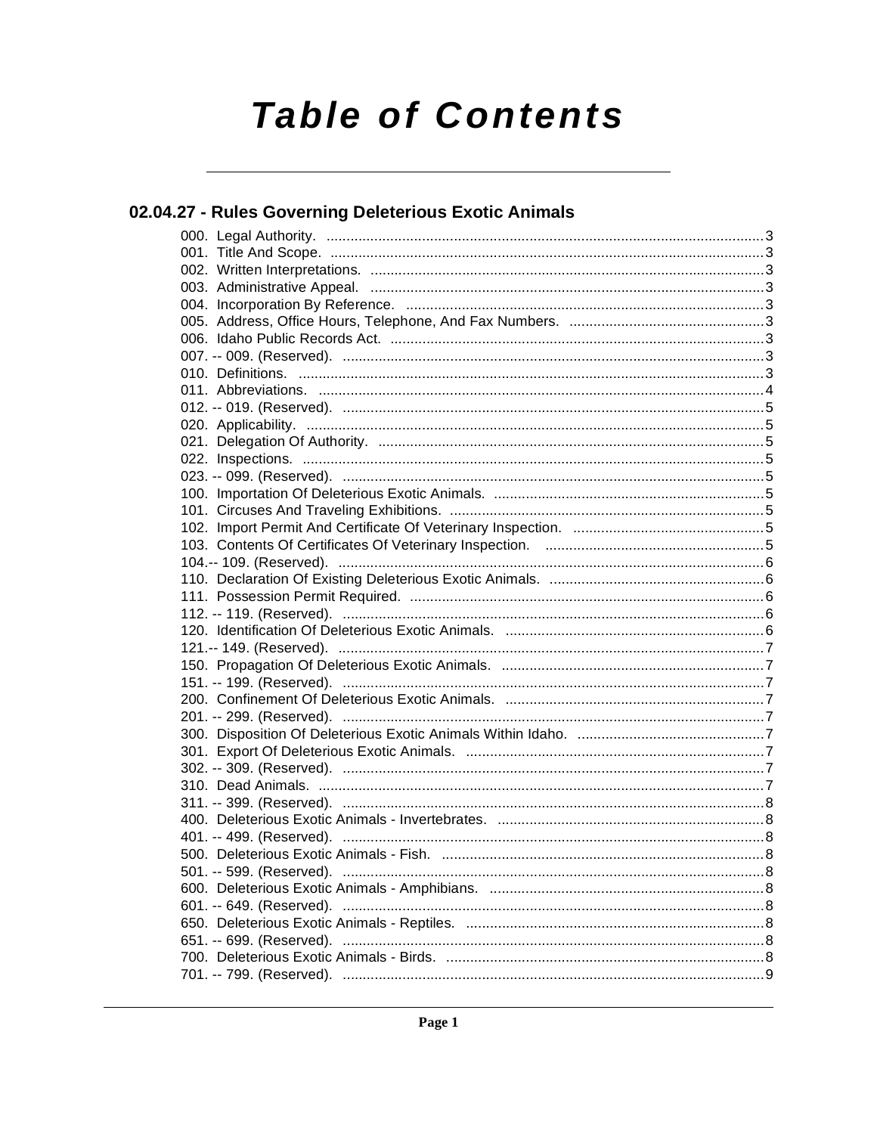# **Table of Contents**

### 02.04.27 - Rules Governing Deleterious Exotic Animals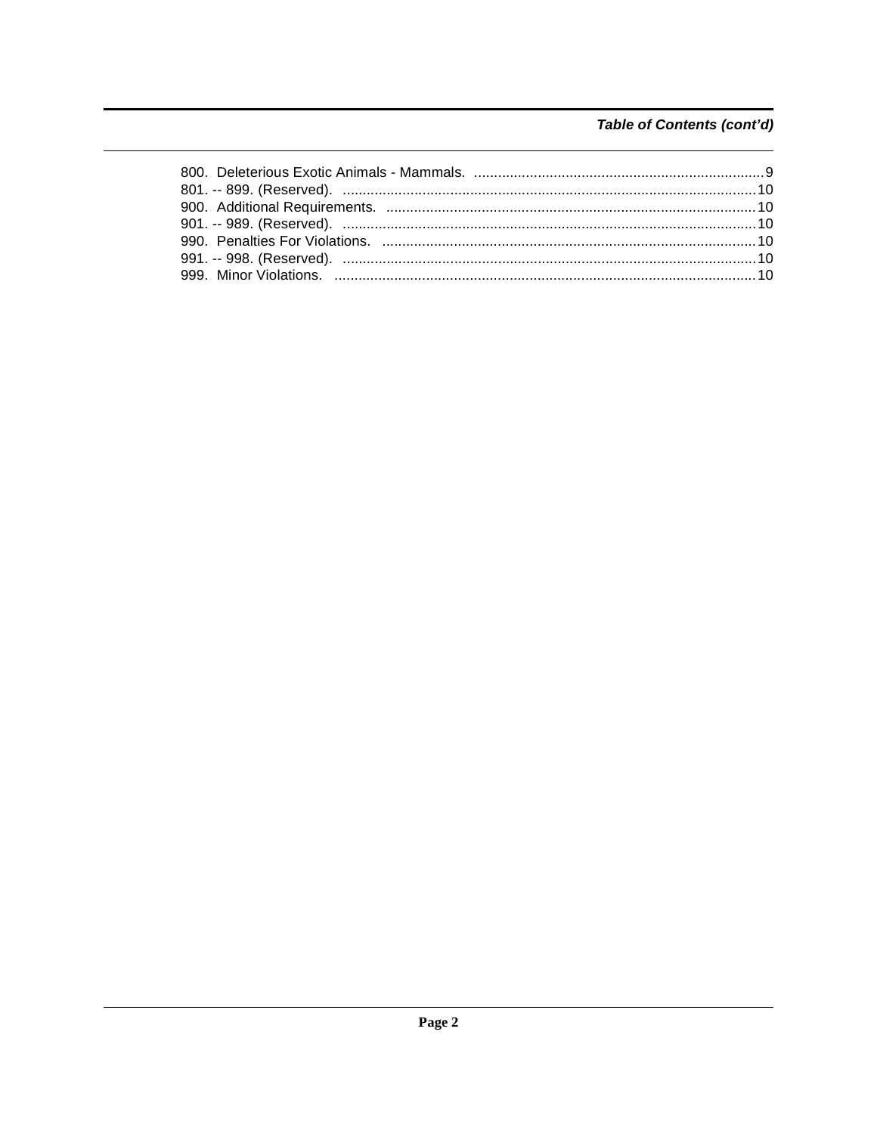### Table of Contents (cont'd)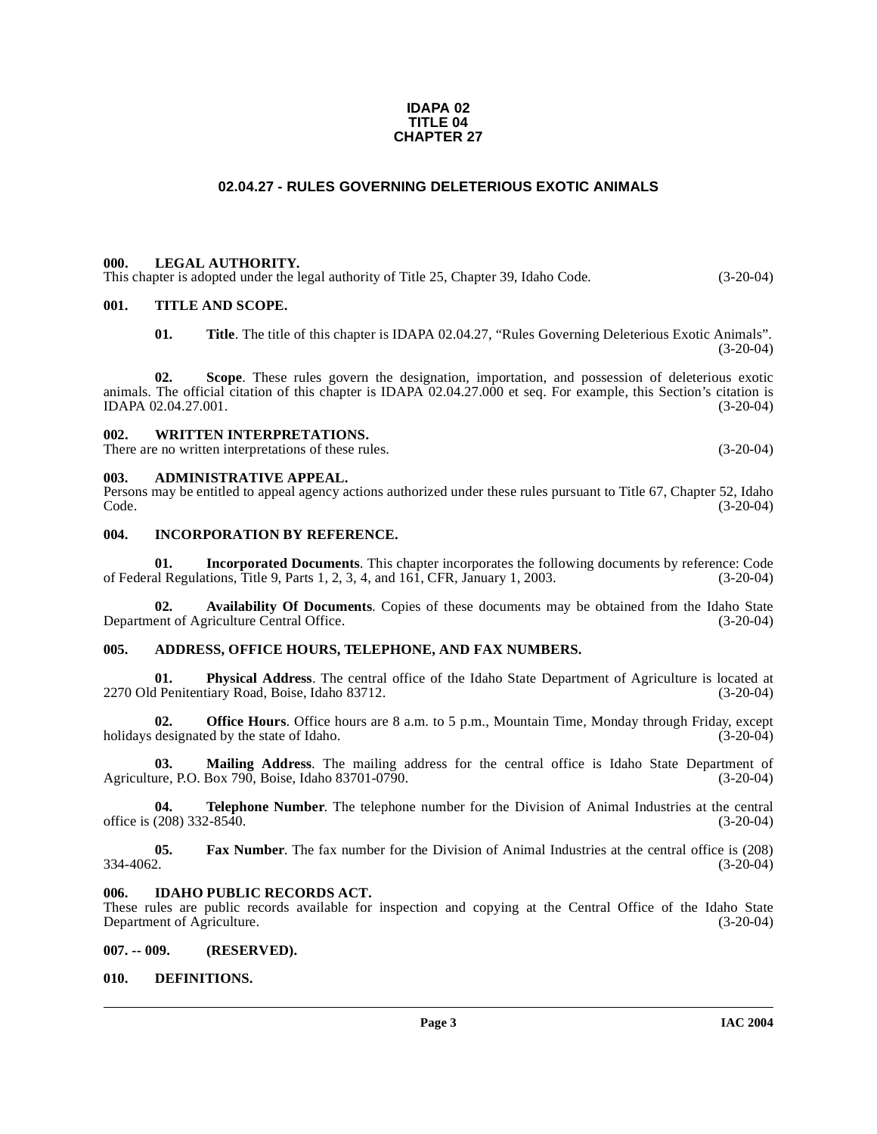#### **IDAPA 02 TITLE 04 CHAPTER 27**

#### **02.04.27 - RULES GOVERNING DELETERIOUS EXOTIC ANIMALS**

#### <span id="page-2-1"></span><span id="page-2-0"></span>**000. LEGAL AUTHORITY.**

This chapter is adopted under the legal authority of Title 25, Chapter 39, Idaho Code. (3-20-04)

#### <span id="page-2-2"></span>**001. TITLE AND SCOPE.**

**01. Title**. The title of this chapter is IDAPA 02.04.27, "Rules Governing Deleterious Exotic Animals". (3-20-04)

**02. Scope**. These rules govern the designation, importation, and possession of deleterious exotic animals. The official citation of this chapter is IDAPA  $02.04.27.000$  et seq. For example, this Section's citation is IDAPA  $02.04.27.001$ .  $(3-20-04)$ IDAPA 02.04.27.001.

#### <span id="page-2-3"></span>**002. WRITTEN INTERPRETATIONS.**

There are no written interpretations of these rules. (3-20-04)

#### <span id="page-2-4"></span>**003. ADMINISTRATIVE APPEAL.**

Persons may be entitled to appeal agency actions authorized under these rules pursuant to Title 67, Chapter 52, Idaho Code. (3-20-04)

#### <span id="page-2-5"></span>**004. INCORPORATION BY REFERENCE.**

**01.** Incorporated Documents. This chapter incorporates the following documents by reference: Code al Regulations. Title 9. Parts 1, 2, 3, 4, and 161. CFR. January 1, 2003. (3-20-04) of Federal Regulations, Title 9, Parts 1, 2, 3, 4, and  $16\overline{1}$ , CFR, January 1, 2003.

**02.** Availability Of Documents. Copies of these documents may be obtained from the Idaho State ent of Agriculture Central Office. Department of Agriculture Central Office.

#### <span id="page-2-6"></span>**005. ADDRESS, OFFICE HOURS, TELEPHONE, AND FAX NUMBERS.**

**01. Physical Address**. The central office of the Idaho State Department of Agriculture is located at 2270 Old Penitentiary Road, Boise, Idaho 83712.

**02. Office Hours**. Office hours are 8 a.m. to 5 p.m., Mountain Time, Monday through Friday, except holidays designated by the state of Idaho. (3-20-04)

**03.** Mailing Address. The mailing address for the central office is Idaho State Department of are, P.O. Box 790, Boise, Idaho 83701-0790. Agriculture, P.O. Box 790, Boise, Idaho 83701-0790.

**04. Telephone Number**. The telephone number for the Division of Animal Industries at the central (208) 332-8540. (3-20-04) office is  $(208)$  332-8540.

**05.** Fax Number. The fax number for the Division of Animal Industries at the central office is (208) 334-4062. 334-4062. (3-20-04)

#### <span id="page-2-7"></span>**006. IDAHO PUBLIC RECORDS ACT.**

These rules are public records available for inspection and copying at the Central Office of the Idaho State<br>Department of Agriculture. (3-20-04) Department of Agriculture.

#### <span id="page-2-8"></span>**007. -- 009. (RESERVED).**

#### <span id="page-2-10"></span><span id="page-2-9"></span>**010. DEFINITIONS.**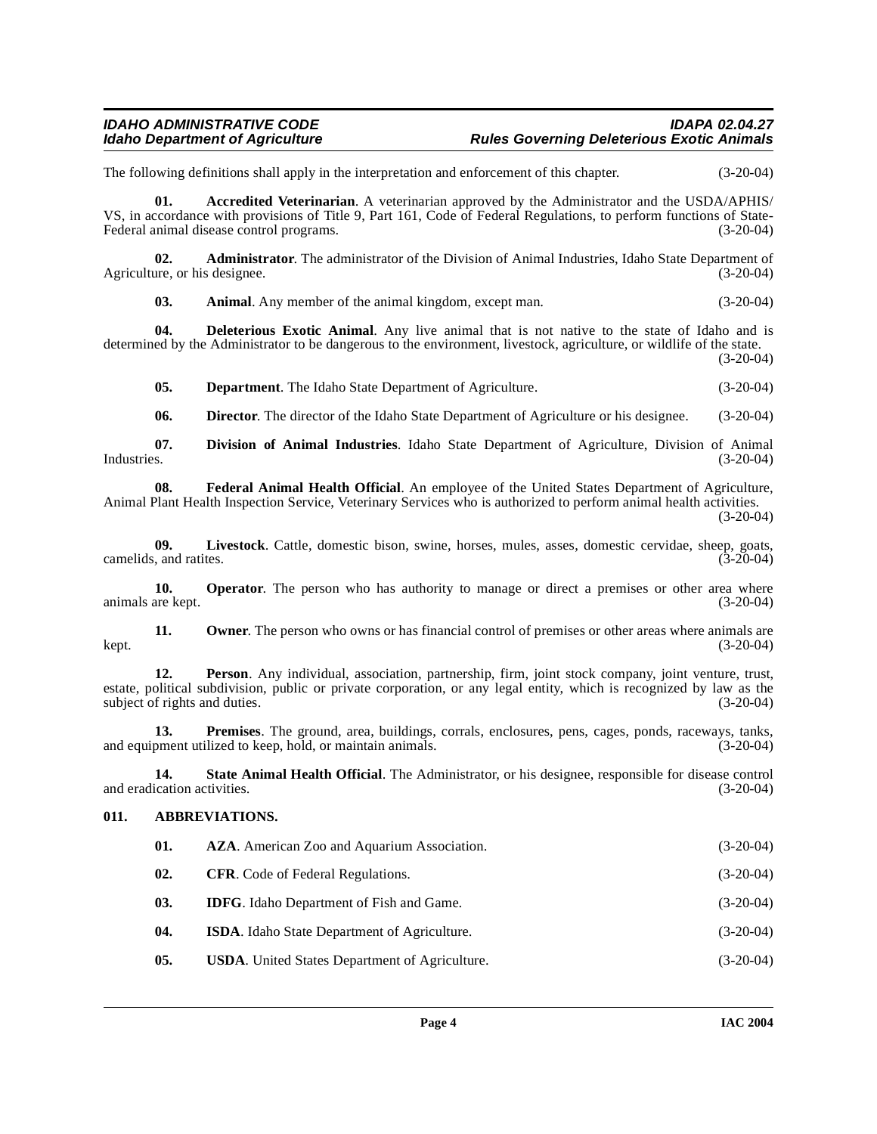#### **IDAHO ADMINISTRATIVE CODE IDAPA 02.04.27 Rules Governing Deleterious Exotic Animals**

The following definitions shall apply in the interpretation and enforcement of this chapter. (3-20-04)

<span id="page-3-1"></span>**01. Accredited Veterinarian**. A veterinarian approved by the Administrator and the USDA/APHIS/ VS, in accordance with provisions of Title 9, Part 161, Code of Federal Regulations, to perform functions of State-Federal animal disease control programs. (3-20-04)

**02. Administrator**. The administrator of the Division of Animal Industries, Idaho State Department of ure, or his designee. (3-20-04) Agriculture, or his designee.

<span id="page-3-2"></span>**03.** Animal. Any member of the animal kingdom, except man. (3-20-04)

**04. Deleterious Exotic Animal**. Any live animal that is not native to the state of Idaho and is determined by the Administrator to be dangerous to the environment, livestock, agriculture, or wildlife of the state.

(3-20-04)

**05. Department**. The Idaho State Department of Agriculture. (3-20-04)

<span id="page-3-3"></span>**06. Director**. The director of the Idaho State Department of Agriculture or his designee. (3-20-04)

**07. Division of Animal Industries**. Idaho State Department of Agriculture, Division of Animal Industries. (3-20-04)

**08. Federal Animal Health Official**. An employee of the United States Department of Agriculture, Animal Plant Health Inspection Service, Veterinary Services who is authorized to perform animal health activities. (3-20-04)

**09.** Livestock. Cattle, domestic bison, swine, horses, mules, asses, domestic cervidae, sheep, goats, and ratites. (3-20-04) camelids, and ratites.

**10. Operator**. The person who has authority to manage or direct a premises or other area where are kept.  $(3-20-04)$ animals are kept.

**11. Owner**. The person who owns or has financial control of premises or other areas where animals are kept. (3-20-04)

**12. Person**. Any individual, association, partnership, firm, joint stock company, joint venture, trust, estate, political subdivision, public or private corporation, or any legal entity, which is recognized by law as the subject of rights and duties. (3-20-04) subject of rights and duties.

**13. Premises**. The ground, area, buildings, corrals, enclosures, pens, cages, ponds, raceways, tanks, prement utilized to keep, hold, or maintain animals. (3-20-04) and equipment utilized to keep, hold, or maintain animals.

**14. State Animal Health Official**. The Administrator, or his designee, responsible for disease control and eradication activities. (3-20-04)

#### <span id="page-3-0"></span>**011. ABBREVIATIONS.**

<span id="page-3-4"></span>

| 01. | <b>AZA.</b> American Zoo and Aquarium Association.    | $(3-20-04)$ |
|-----|-------------------------------------------------------|-------------|
| 02. | <b>CFR.</b> Code of Federal Regulations.              | $(3-20-04)$ |
| 03. | <b>IDFG</b> . Idaho Department of Fish and Game.      | $(3-20-04)$ |
| 04. | <b>ISDA.</b> Idaho State Department of Agriculture.   | $(3-20-04)$ |
| 05. | <b>USDA.</b> United States Department of Agriculture. | $(3-20-04)$ |
|     |                                                       |             |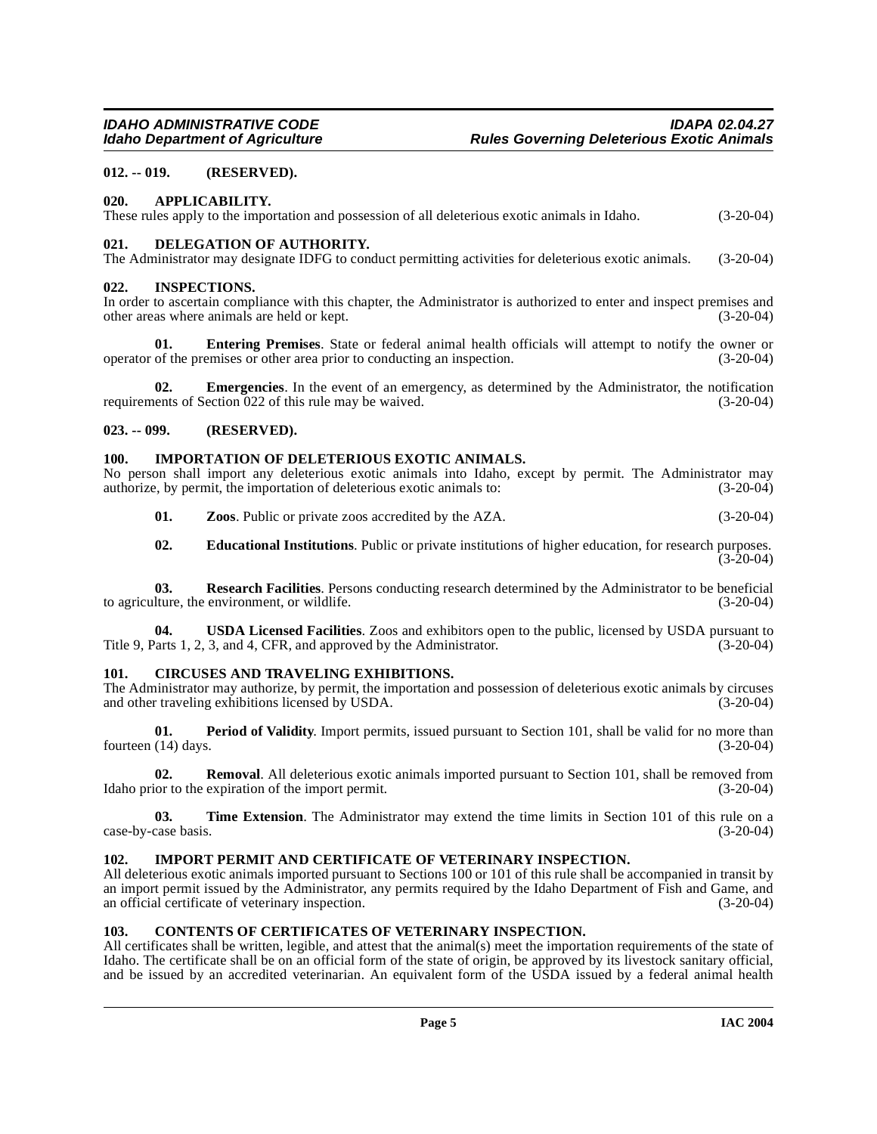#### <span id="page-4-0"></span>**012. -- 019. (RESERVED).**

#### <span id="page-4-1"></span>**020. APPLICABILITY.**

These rules apply to the importation and possession of all deleterious exotic animals in Idaho. (3-20-04)

#### <span id="page-4-11"></span><span id="page-4-2"></span>**021. DELEGATION OF AUTHORITY.**

The Administrator may designate IDFG to conduct permitting activities for deleterious exotic animals. (3-20-04)

#### <span id="page-4-3"></span>**022. INSPECTIONS.**

In order to ascertain compliance with this chapter, the Administrator is authorized to enter and inspect premises and other areas where animals are held or kept. (3-20-04)

**01. Entering Premises**. State or federal animal health officials will attempt to notify the owner or of the premises or other area prior to conducting an inspection. (3-20-04) operator of the premises or other area prior to conducting an inspection.

**02. Emergencies**. In the event of an emergency, as determined by the Administrator, the notification ents of Section 022 of this rule may be waived. (3-20-04) requirements of Section  $022$  of this rule may be waived.

#### <span id="page-4-4"></span>**023. -- 099. (RESERVED).**

#### <span id="page-4-14"></span><span id="page-4-5"></span>**100. IMPORTATION OF DELETERIOUS EXOTIC ANIMALS.**

No person shall import any deleterious exotic animals into Idaho, except by permit. The Administrator may authorize, by permit, the importation of deleterious exotic animals to: (3-20-04) authorize, by permit, the importation of deleterious exotic animals to:

**01. Zoos**. Public or private zoos accredited by the AZA. (3-20-04)

<span id="page-4-12"></span>**02. Educational Institutions**. Public or private institutions of higher education, for research purposes.  $(3-20-04)$ 

**03. Research Facilities**. Persons conducting research determined by the Administrator to be beneficial lture, the environment, or wildlife. (3-20-04) to agriculture, the environment, or wildlife.

**04. USDA Licensed Facilities**. Zoos and exhibitors open to the public, licensed by USDA pursuant to Title 9, Parts 1, 2, 3, and 4, CFR, and approved by the Administrator. (3-20-04)

#### <span id="page-4-9"></span><span id="page-4-6"></span>**101. CIRCUSES AND TRAVELING EXHIBITIONS.**

The Administrator may authorize, by permit, the importation and possession of deleterious exotic animals by circuses and other traveling exhibitions licensed by USDA. (3-20-04) and other traveling exhibitions licensed by USDA.

**01. Period of Validity**. Import permits, issued pursuant to Section 101, shall be valid for no more than (14) days. (3-20-04) fourteen  $(14)$  days.

**02. Removal**. All deleterious exotic animals imported pursuant to Section 101, shall be removed from Idaho prior to the expiration of the import permit. (3-20-04)

**03. Time Extension**. The Administrator may extend the time limits in Section 101 of this rule on a case-by-case basis. (3-20-04)

#### <span id="page-4-13"></span><span id="page-4-7"></span>**102. IMPORT PERMIT AND CERTIFICATE OF VETERINARY INSPECTION.**

All deleterious exotic animals imported pursuant to Sections 100 or 101 of this rule shall be accompanied in transit by an import permit issued by the Administrator, any permits required by the Idaho Department of Fish and Game, and an official certificate of veterinary inspection. (3-20-04)

#### <span id="page-4-10"></span><span id="page-4-8"></span>**103. CONTENTS OF CERTIFICATES OF VETERINARY INSPECTION.**

All certificates shall be written, legible, and attest that the animal(s) meet the importation requirements of the state of Idaho. The certificate shall be on an official form of the state of origin, be approved by its livestock sanitary official, and be issued by an accredited veterinarian. An equivalent form of the USDA issued by a federal animal health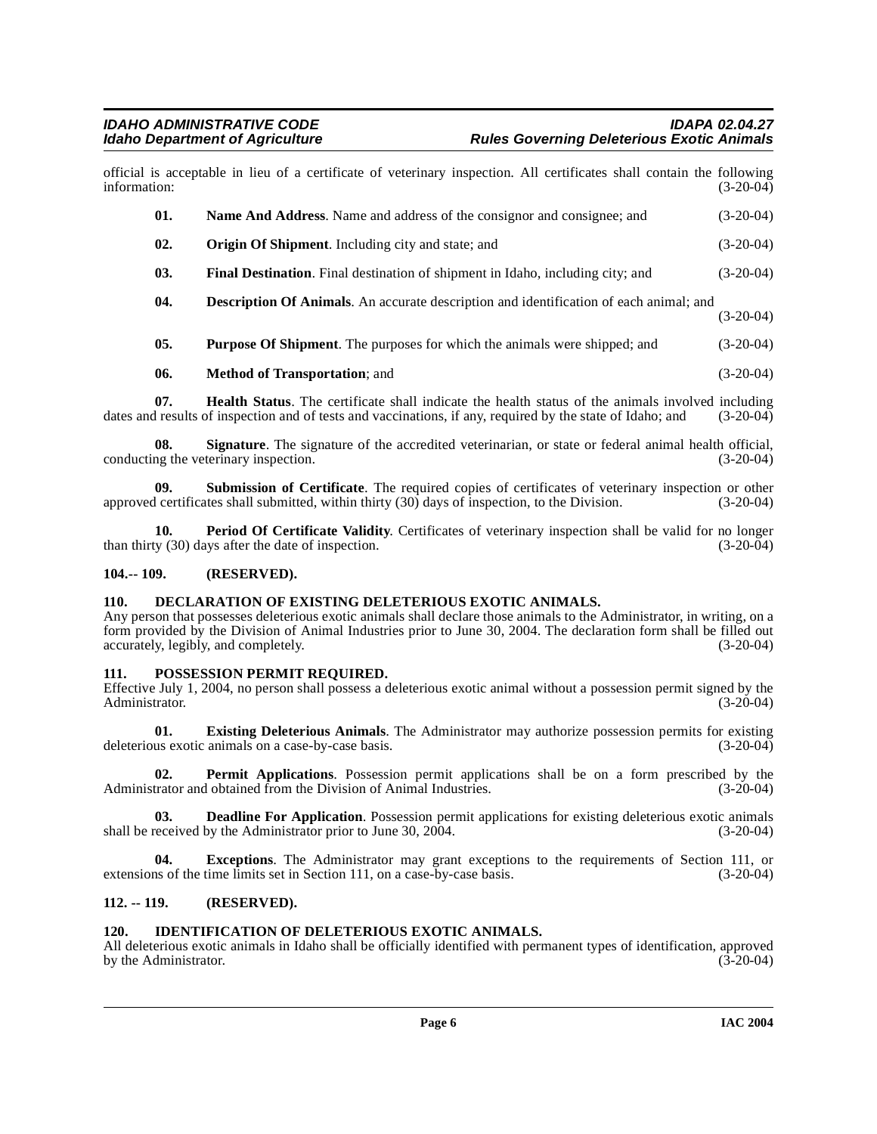official is acceptable in lieu of a certificate of veterinary inspection. All certificates shall contain the following information: (3-20-04)

<span id="page-5-13"></span><span id="page-5-9"></span><span id="page-5-7"></span>

| 01. | <b>Name And Address.</b> Name and address of the consignor and consignee; and                 | $(3-20-04)$ |
|-----|-----------------------------------------------------------------------------------------------|-------------|
| 02. | <b>Origin Of Shipment.</b> Including city and state; and                                      | $(3-20-04)$ |
| 03. | <b>Final Destination.</b> Final destination of shipment in Idaho, including city; and         | $(3-20-04)$ |
| 04. | <b>Description Of Animals.</b> An accurate description and identification of each animal; and | $(3-20-04)$ |
| 05. | <b>Purpose Of Shipment</b> . The purposes for which the animals were shipped; and             | $(3-20-04)$ |
| 06. | <b>Method of Transportation</b> ; and                                                         | $(3-20-04)$ |

<span id="page-5-12"></span><span id="page-5-10"></span>**07. Health Status**. The certificate shall indicate the health status of the animals involved including it results of inspection and of tests and vaccinations, if any, required by the state of Idaho; and (3-20-04) dates and results of inspection and of tests and vaccinations, if any, required by the state of Idaho; and

**Signature**. The signature of the accredited veterinarian, or state or federal animal health official, conducting the veterinary inspection. (3-20-04)

<span id="page-5-17"></span>**09.** Submission of Certificate. The required copies of certificates of veterinary inspection or other leartificates shall submitted, within thirty (30) days of inspection, to the Division. (3-20-04) approved certificates shall submitted, within thirty (30) days of inspection, to the Division.

<span id="page-5-14"></span>**10. Period Of Certificate Validity**. Certificates of veterinary inspection shall be valid for no longer (3-20-04) (3-20-04) than thirty  $(30)$  days after the date of inspection.

#### <span id="page-5-6"></span><span id="page-5-0"></span>**104.-- 109. (RESERVED).**

#### <span id="page-5-1"></span>**110. DECLARATION OF EXISTING DELETERIOUS EXOTIC ANIMALS.**

Any person that possesses deleterious exotic animals shall declare those animals to the Administrator, in writing, on a form provided by the Division of Animal Industries prior to June 30, 2004. The declaration form shall be filled out accurately, legibly, and completely. (3-20-04)

#### <span id="page-5-16"></span><span id="page-5-2"></span>**111. POSSESSION PERMIT REQUIRED.**

Effective July 1, 2004, no person shall possess a deleterious exotic animal without a possession permit signed by the Administrator. (3-20-04) Administrator.

<span id="page-5-8"></span>**01. Existing Deleterious Animals**. The Administrator may authorize possession permits for existing us exotic animals on a case-by-case basis. (3-20-04) deleterious exotic animals on a case-by-case basis.

<span id="page-5-15"></span>**02. Permit Applications**. Possession permit applications shall be on a form prescribed by the Administrator and obtained from the Division of Animal Industries. (3-20-04)

<span id="page-5-5"></span>**03. Deadline For Application**. Possession permit applications for existing deleterious exotic animals shall be received by the Administrator prior to June 30, 2004. (3-20-04) (3-20-04)

**04.** Exceptions. The Administrator may grant exceptions to the requirements of Section 111, or as of the time limits set in Section 111, on a case-by-case basis. (3-20-04) extensions of the time limits set in Section 111, on a case-by-case basis.

#### <span id="page-5-3"></span>**112. -- 119. (RESERVED).**

#### <span id="page-5-11"></span><span id="page-5-4"></span>**120. IDENTIFICATION OF DELETERIOUS EXOTIC ANIMALS.**

All deleterious exotic animals in Idaho shall be officially identified with permanent types of identification, approved<br>(3-20-04) by the Administrator.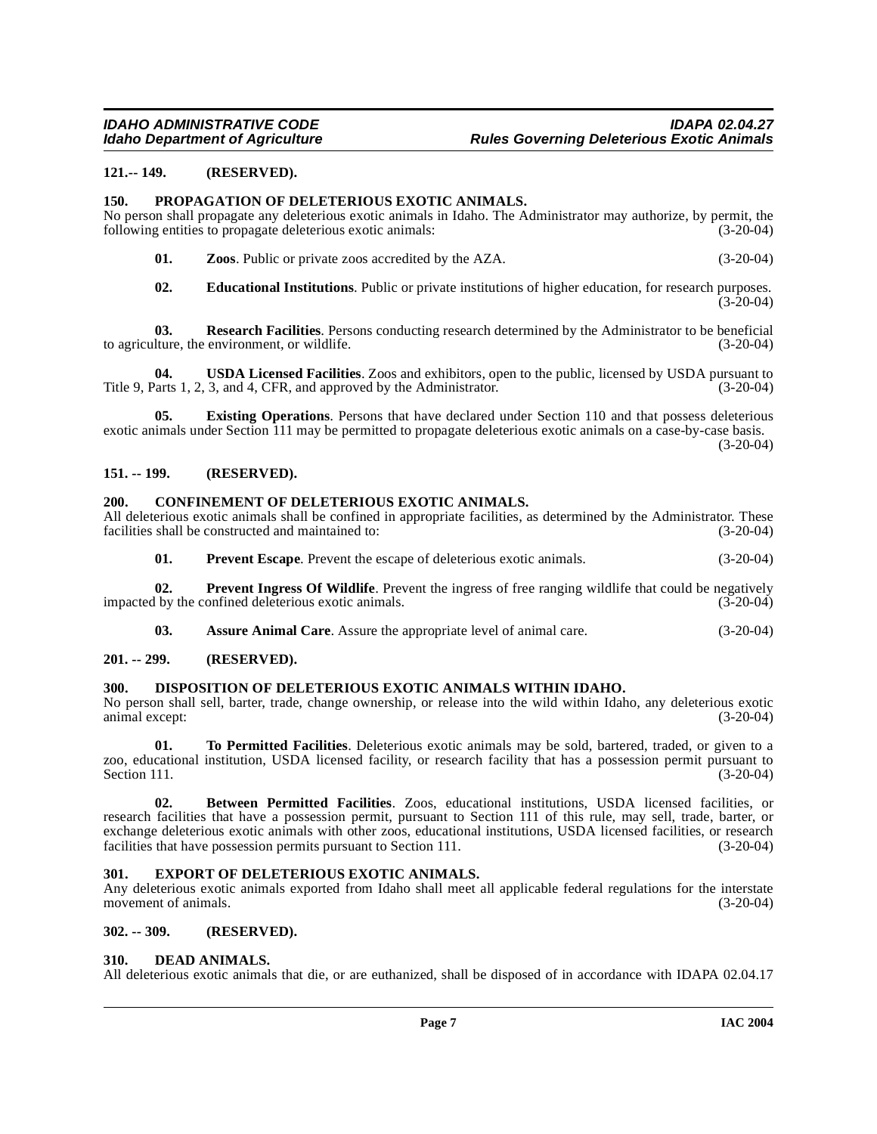#### <span id="page-6-0"></span>**121.-- 149. (RESERVED).**

#### <span id="page-6-17"></span><span id="page-6-1"></span>**150. PROPAGATION OF DELETERIOUS EXOTIC ANIMALS.**

No person shall propagate any deleterious exotic animals in Idaho. The Administrator may authorize, by permit, the following entities to propagate deleterious exotic animals: (3-20-04) following entities to propagate deleterious exotic animals:

| 01. | <b>Zoos.</b> Public or private zoos accredited by the AZA. | $(3-20-04)$ |
|-----|------------------------------------------------------------|-------------|
|-----|------------------------------------------------------------|-------------|

<span id="page-6-19"></span><span id="page-6-18"></span><span id="page-6-13"></span>**02. Educational Institutions**. Public or private institutions of higher education, for research purposes.  $(3-20-04)$ 

**03. Research Facilities**. Persons conducting research determined by the Administrator to be beneficial lture, the environment, or wildlife. (3-20-04) to agriculture, the environment, or wildlife.

**04. USDA Licensed Facilities**. Zoos and exhibitors, open to the public, licensed by USDA pursuant to larts 1, 2, 3, and 4, CFR, and approved by the Administrator. (3-20-04) Title 9, Parts 1, 2, 3, and 4, CFR, and approved by the Administrator.

**05. Existing Operations**. Persons that have declared under Section 110 and that possess deleterious exotic animals under Section 111 may be permitted to propagate deleterious exotic animals on a case-by-case basis.  $(3-20-04)$ 

<span id="page-6-2"></span>**151. -- 199. (RESERVED).**

#### <span id="page-6-10"></span><span id="page-6-3"></span>**200. CONFINEMENT OF DELETERIOUS EXOTIC ANIMALS.**

All deleterious exotic animals shall be confined in appropriate facilities, as determined by the Administrator. These facilities shall be constructed and maintained to: (3-20-04) facilities shall be constructed and maintained to:

<span id="page-6-16"></span>**01.** Prevent Escape. Prevent the escape of deleterious exotic animals. (3-20-04)

**02. Prevent Ingress Of Wildlife**. Prevent the ingress of free ranging wildlife that could be negatively by the confined deleterious exotic animals. (3-20-04) impacted by the confined deleterious exotic animals.

<span id="page-6-12"></span>**03. Assure Animal Care**. Assure the appropriate level of animal care. (3-20-04)

#### <span id="page-6-4"></span>**201. -- 299. (RESERVED).**

#### <span id="page-6-5"></span>**300. DISPOSITION OF DELETERIOUS EXOTIC ANIMALS WITHIN IDAHO.**

No person shall sell, barter, trade, change ownership, or release into the wild within Idaho, any deleterious exotic animal except:

<span id="page-6-15"></span>**01. To Permitted Facilities**. Deleterious exotic animals may be sold, bartered, traded, or given to a zoo, educational institution, USDA licensed facility, or research facility that has a possession permit pursuant to Section 111.  $(3-20-04)$ 

<span id="page-6-9"></span>**02. Between Permitted Facilities**. Zoos, educational institutions, USDA licensed facilities, or research facilities that have a possession permit, pursuant to Section 111 of this rule, may sell, trade, barter, or exchange deleterious exotic animals with other zoos, educational institutions, USDA licensed facilities, or research facilities that have possession permits pursuant to Section 111. (3-20-04)

#### <span id="page-6-14"></span><span id="page-6-6"></span>**301. EXPORT OF DELETERIOUS EXOTIC ANIMALS.**

Any deleterious exotic animals exported from Idaho shall meet all applicable federal regulations for the interstate movement of animals. (3-20-04)

#### <span id="page-6-7"></span>**302. -- 309. (RESERVED).**

#### <span id="page-6-11"></span><span id="page-6-8"></span>**310. DEAD ANIMALS.**

All deleterious exotic animals that die, or are euthanized, shall be disposed of in accordance with IDAPA 02.04.17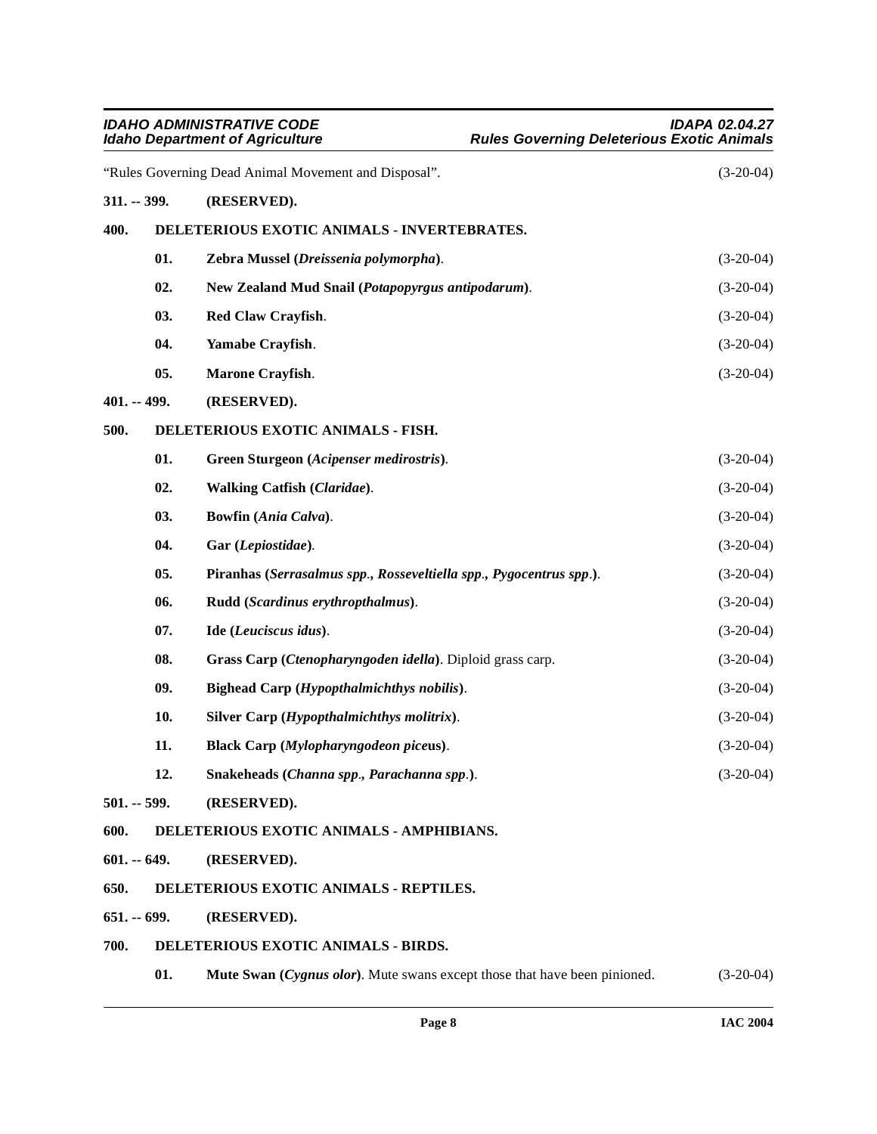<span id="page-7-14"></span><span id="page-7-13"></span><span id="page-7-12"></span><span id="page-7-11"></span><span id="page-7-10"></span><span id="page-7-9"></span><span id="page-7-8"></span><span id="page-7-7"></span><span id="page-7-6"></span><span id="page-7-5"></span><span id="page-7-4"></span><span id="page-7-3"></span><span id="page-7-2"></span><span id="page-7-1"></span><span id="page-7-0"></span>

| <b>IDAHO ADMINISTRATIVE CODE</b><br><b>Idaho Department of Agriculture</b> |               |                                                                           | <b>IDAPA 02.04.27</b><br><b>Rules Governing Deleterious Exotic Animals</b> |  |
|----------------------------------------------------------------------------|---------------|---------------------------------------------------------------------------|----------------------------------------------------------------------------|--|
|                                                                            |               | "Rules Governing Dead Animal Movement and Disposal".                      | $(3-20-04)$                                                                |  |
| $311. - 399.$                                                              |               | (RESERVED).                                                               |                                                                            |  |
| 400.                                                                       |               | DELETERIOUS EXOTIC ANIMALS - INVERTEBRATES.                               |                                                                            |  |
|                                                                            | 01.           | Zebra Mussel (Dreissenia polymorpha).                                     | $(3-20-04)$                                                                |  |
|                                                                            | 02.           | New Zealand Mud Snail (Potapopyrgus antipodarum).                         | $(3-20-04)$                                                                |  |
|                                                                            | 03.           | Red Claw Crayfish.                                                        | $(3-20-04)$                                                                |  |
|                                                                            | 04.           | Yamabe Crayfish.                                                          | $(3-20-04)$                                                                |  |
|                                                                            | 05.           | Marone Crayfish.                                                          | $(3-20-04)$                                                                |  |
| $401. - 499.$                                                              |               | (RESERVED).                                                               |                                                                            |  |
| 500.                                                                       |               | DELETERIOUS EXOTIC ANIMALS - FISH.                                        |                                                                            |  |
|                                                                            | 01.           | Green Sturgeon (Acipenser medirostris).                                   | $(3-20-04)$                                                                |  |
|                                                                            | 02.           | Walking Catfish (Claridae).                                               | $(3-20-04)$                                                                |  |
|                                                                            | 03.           | Bowfin (Ania Calva).                                                      | $(3-20-04)$                                                                |  |
|                                                                            | 04.           | Gar (Lepiostidae).                                                        | $(3-20-04)$                                                                |  |
|                                                                            | 05.           | Piranhas (Serrasalmus spp., Rosseveltiella spp., Pygocentrus spp.).       | $(3-20-04)$                                                                |  |
|                                                                            | 06.           | Rudd (Scardinus erythropthalmus).                                         | $(3-20-04)$                                                                |  |
|                                                                            | 07.           | Ide (Leuciscus idus).                                                     | $(3-20-04)$                                                                |  |
|                                                                            | 08.           | Grass Carp (Ctenopharyngoden idella). Diploid grass carp.                 | $(3-20-04)$                                                                |  |
|                                                                            | 09.           | Bighead Carp (Hypopthalmichthys nobilis).                                 | $(3-20-04)$                                                                |  |
|                                                                            | 10.           | Silver Carp (Hypopthalmichthys molitrix).                                 | $(3-20-04)$                                                                |  |
|                                                                            | 11.           | Black Carp (Mylopharyngodeon piceus).                                     | $(3-20-04)$                                                                |  |
|                                                                            | 12.           | Snakeheads (Channa spp., Parachanna spp.).                                | $(3-20-04)$                                                                |  |
|                                                                            | $501. - 599.$ | (RESERVED).                                                               |                                                                            |  |
| 600.                                                                       |               | DELETERIOUS EXOTIC ANIMALS - AMPHIBIANS.                                  |                                                                            |  |
| $601. - 649.$                                                              |               | (RESERVED).                                                               |                                                                            |  |
| 650.                                                                       |               | DELETERIOUS EXOTIC ANIMALS - REPTILES.                                    |                                                                            |  |
| $651 - 699.$                                                               |               | (RESERVED).                                                               |                                                                            |  |
| 700.                                                                       |               | DELETERIOUS EXOTIC ANIMALS - BIRDS.                                       |                                                                            |  |
|                                                                            | 01.           | Mute Swan (Cygnus olor). Mute swans except those that have been pinioned. | $(3-20-04)$                                                                |  |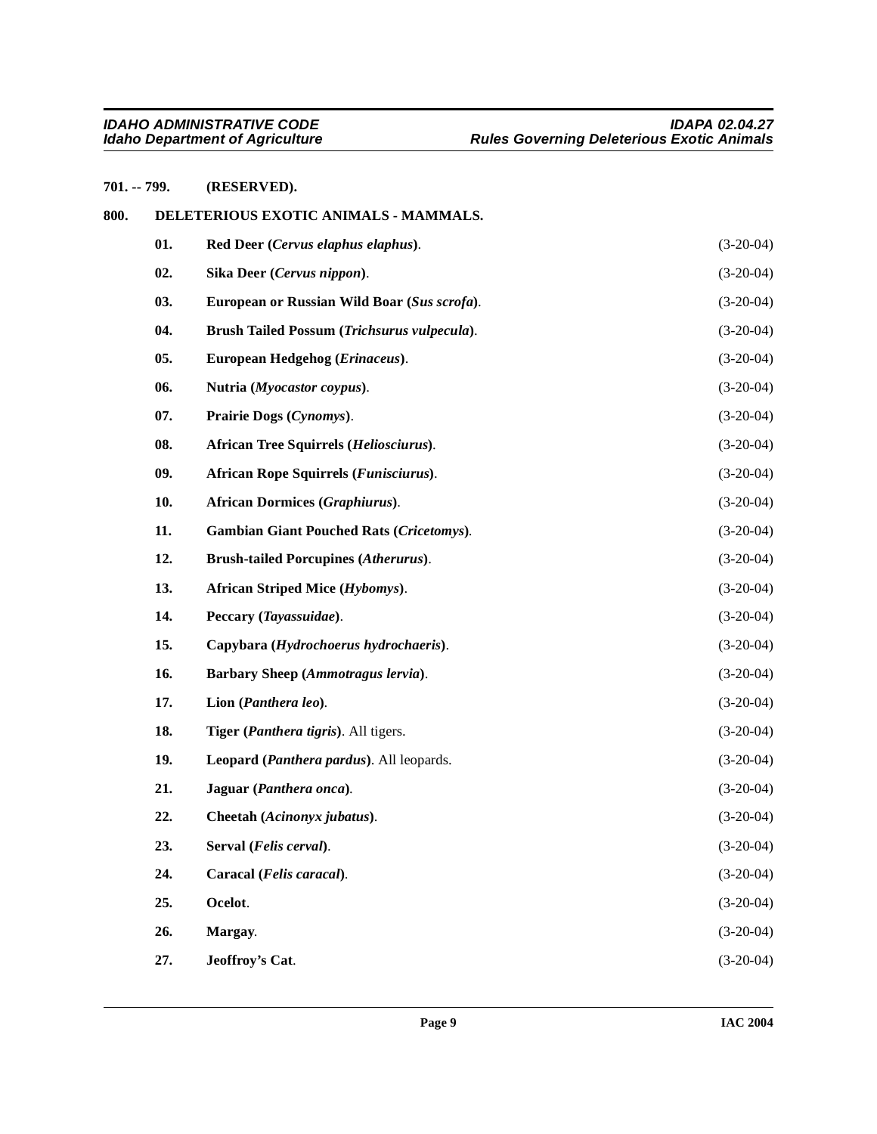## <span id="page-8-2"></span><span id="page-8-1"></span><span id="page-8-0"></span>**701. -- 799. (RESERVED). 800. DELETERIOUS EXOTIC ANIMALS - MAMMALS. 01. Red Deer (***Cervus elaphus elaphus***)**. (3-20-04) **02. Sika Deer (***Cervus nippon***)**. (3-20-04) **03. European or Russian Wild Boar (***Sus scrofa***)**. (3-20-04) **04. Brush Tailed Possum (***Trichsurus vulpecula***)**. (3-20-04) **05. European Hedgehog (***Erinaceus***)**. (3-20-04) **06. Nutria (***Myocastor coypus***)**. (3-20-04) **07. Prairie Dogs (***Cynomys***)**. (3-20-04) **08. African Tree Squirrels (***Heliosciurus***)**. (3-20-04) **09. African Rope Squirrels (***Funisciurus***)**. (3-20-04) **10. African Dormices (***Graphiurus***)**. (3-20-04) **11. Gambian Giant Pouched Rats (***Cricetomys***)**. (3-20-04) **12. Brush-tailed Porcupines (***Atherurus***)**. (3-20-04) **13. African Striped Mice (***Hybomys***).** (3-20-04) **14. Peccary (***Tayassuidae***)**. (3-20-04) **15. Capybara (***Hydrochoerus hydrochaeris***)**. (3-20-04) **16. Barbary Sheep (***Ammotragus lervia***)**. (3-20-04) **17. Lion (***Panthera leo***)**. (3-20-04) **18. Tiger (***Panthera tigris***)**. All tigers. (3-20-04) **19. Leopard (***Panthera pardus***)**. All leopards. (3-20-04) **21. Jaguar (***Panthera onca***)**. (3-20-04) **22. Cheetah (***Acinonyx jubatus***)**. (3-20-04) **23. Serval (***Felis cerval***)**. (3-20-04) **24. Caracal (***Felis caracal***)**. (3-20-04) **25. Ocelot**. (3-20-04) **26. Margay**. (3-20-04) **27. Jeoffroy's Cat**. (3-20-04)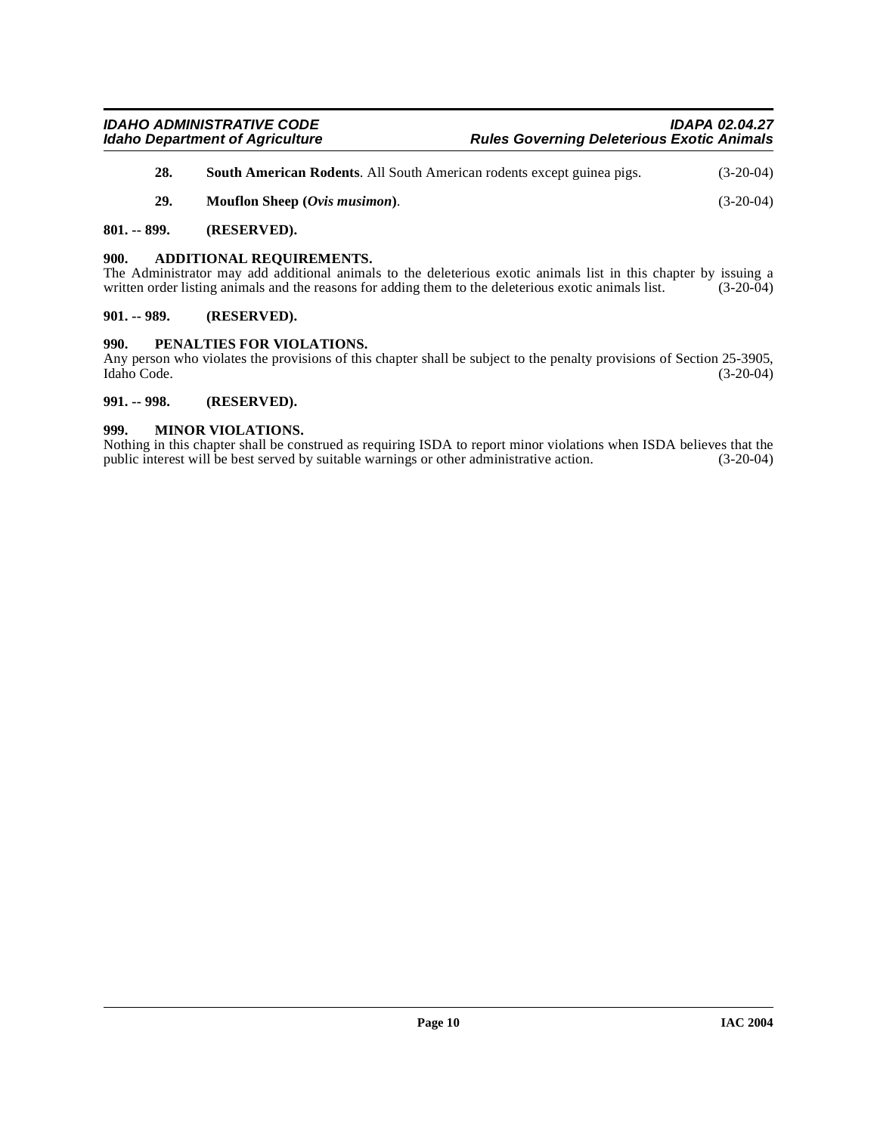| 28. | South American Rodents. All South American rodents except guinea pigs. | $(3-20-04)$ |
|-----|------------------------------------------------------------------------|-------------|
| 29. | <b>Mouflon Sheep</b> ( <i>Ovis musimon</i> ).                          | $(3-20-04)$ |

#### <span id="page-9-0"></span>**801. -- 899. (RESERVED).**

#### <span id="page-9-1"></span>**900. ADDITIONAL REQUIREMENTS.**

The Administrator may add additional animals to the deleterious exotic animals list in this chapter by issuing a written order listing animals and the reasons for adding them to the deleterious exotic animals list. (3-20-0 written order listing animals and the reasons for adding them to the deleterious exotic animals list.

#### <span id="page-9-2"></span>**901. -- 989. (RESERVED).**

#### <span id="page-9-3"></span>**990. PENALTIES FOR VIOLATIONS.**

Any person who violates the provisions of this chapter shall be subject to the penalty provisions of Section 25-3905, Idaho Code. (3-20-04) Idaho Code. (3-20-04)

#### <span id="page-9-4"></span>**991. -- 998. (RESERVED).**

#### <span id="page-9-5"></span>**999. MINOR VIOLATIONS.**

Nothing in this chapter shall be construed as requiring ISDA to report minor violations when ISDA believes that the public interest will be best served by suitable warnings or other administrative action. (3-20-04) public interest will be best served by suitable warnings or other administrative action.